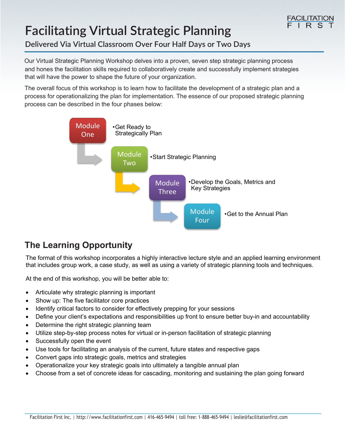# **Facilitating Virtual Strategic Planning**

### **Delivered Via Virtual Classroom Over Four Half Days or Two Days**

Our Virtual Strategic Planning Workshop delves into a proven, seven step strategic planning process and hones the facilitation skills required to collaboratively create and successfully implement strategies that will have the power to shape the future of your organization.

The overall focus of this workshop is to learn how to facilitate the development of a strategic plan and a process for operationalizing the plan for implementation. The essence of our proposed strategic planning process can be described in the four phases below:



## **The Learning Opportunity**

The format of this workshop incorporates a highly interactive lecture style and an applied learning environment that includes group work, a case study, as well as using a variety of strategic planning tools and techniques.

At the end of this workshop, you will be better able to:

- Articulate why strategic planning is important
- Show up: The five facilitator core practices
- Identify critical factors to consider for effectively prepping for your sessions
- Define your client's expectations and responsibilities up front to ensure better buy-in and accountability
- Determine the right strategic planning team
- Utilize step-by-step process notes for virtual or in-person facilitation of strategic planning
- Successfully open the event
- Use tools for facilitating an analysis of the current, future states and respective gaps
- Convert gaps into strategic goals, metrics and strategies
- Operationalize your key strategic goals into ultimately a tangible annual plan
- Choose from a set of concrete ideas for cascading, monitoring and sustaining the plan going forward